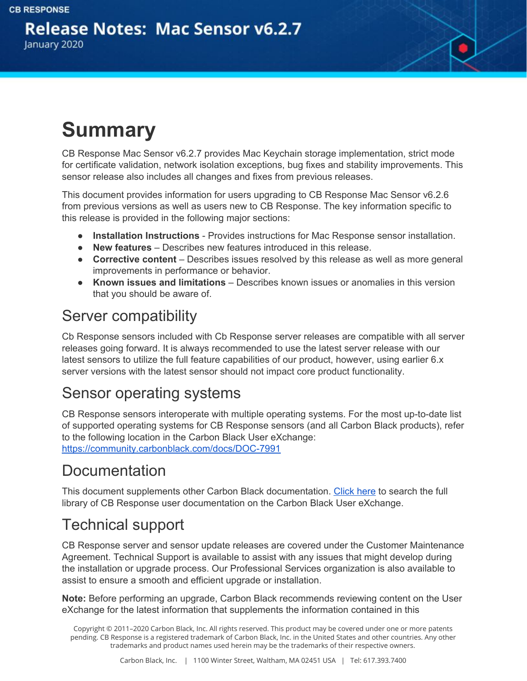

# **Summary**

CB Response Mac Sensor v6.2.7 provides Mac Keychain storage implementation, strict mode for certificate validation, network isolation exceptions, bug fixes and stability improvements. This sensor release also includes all changes and fixes from previous releases.

This document provides information for users upgrading to CB Response Mac Sensor v6.2.6 from previous versions as well as users new to CB Response. The key information specific to this release is provided in the following major sections:

- **Installation Instructions** Provides instructions for Mac Response sensor installation.
- **New features** Describes new features introduced in this release.
- **● Corrective content** Describes issues resolved by this release as well as more general improvements in performance or behavior.
- **Known issues and limitations** Describes known issues or anomalies in this version that you should be aware of.

#### Server compatibility

Cb Response sensors included with Cb Response server releases are compatible with all server releases going forward. It is always recommended to use the latest server release with our latest sensors to utilize the full feature capabilities of our product, however, using earlier 6.x server versions with the latest sensor should not impact core product functionality.

#### Sensor operating systems

CB Response sensors interoperate with multiple operating systems. For the most up-to-date list of supported operating systems for CB Response sensors (and all Carbon Black products), refer to the following location in the Carbon Black User eXchange: <https://community.carbonblack.com/docs/DOC-7991>

#### Documentation

This document supplements other Carbon Black documentation. [Click](https://community.carbonblack.com/community/resources/product-docs-and-news/content?filterID=contentstatus%5Bpublished%5D~tag%5Bcb+response%5D) here to search the full library of CB Response user documentation on the Carbon Black User eXchange.

#### Technical support

CB Response server and sensor update releases are covered under the Customer Maintenance Agreement. Technical Support is available to assist with any issues that might develop during the installation or upgrade process. Our Professional Services organization is also available to assist to ensure a smooth and efficient upgrade or installation.

**Note:** Before performing an upgrade, Carbon Black recommends reviewing content on the User eXchange for the latest information that supplements the information contained in this

Copyright © 2011–2020 Carbon Black, Inc. All rights reserved. This product may be covered under one or more patents pending. CB Response is a registered trademark of Carbon Black, Inc. in the United States and other countries. Any other trademarks and product names used herein may be the trademarks of their respective owners.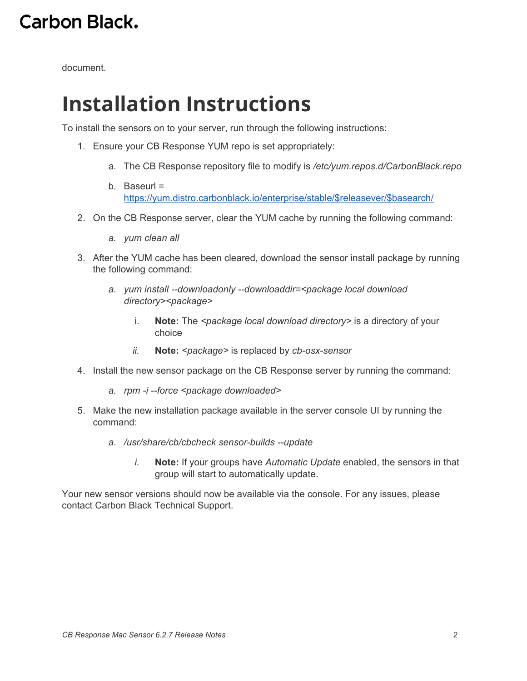document.

### **Installation Instructions**

To install the sensors on to your server, run through the following instructions:

- 1. Ensure your CB Response YUM repo is set appropriately:
	- a. The CB Response repository file to modify is */etc/yum.repos.d/CarbonBlack.repo*
	- b. Baseurl = [https://yum.distro.carbonblack.io/enterprise/stable/\\$releasever/\\$basearch/](https://yum.distro.carbonblack.io/enterprise/stable/$releasever/$basearch/)
- 2. On the CB Response server, clear the YUM cache by running the following command:
	- *a. yum clean all*
- 3. After the YUM cache has been cleared, download the sensor install package by running the following command:
	- *a. yum install --downloadonly --downloaddir=<package local download directory><package>*
		- i. **Note:** The *<package local download directory>* is a directory of your choice
		- *ii.* **Note:** *<package>* is replaced by *cb-osx-sensor*
- 4. Install the new sensor package on the CB Response server by running the command:
	- *a. rpm -i --force <package downloaded>*
- 5. Make the new installation package available in the server console UI by running the command:
	- *a. /usr/share/cb/cbcheck sensor-builds --update*
		- *i.* **Note:** If your groups have *Automatic Update* enabled, the sensors in that group will start to automatically update.

Your new sensor versions should now be available via the console. For any issues, please contact Carbon Black Technical Support.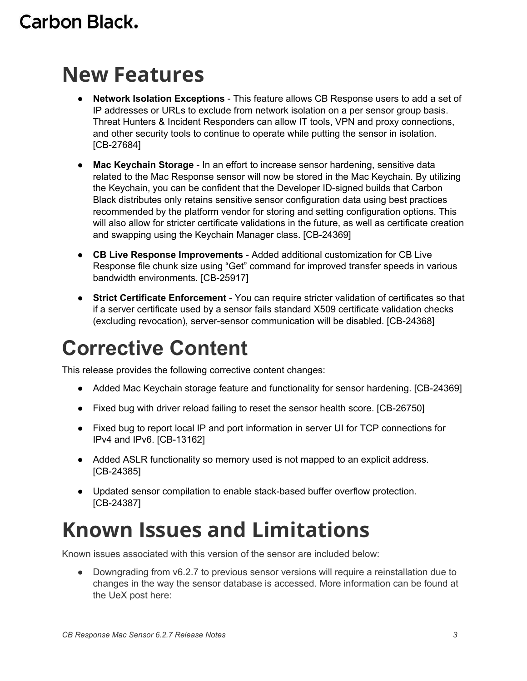### **New Features**

- **Network Isolation Exceptions** This feature allows CB Response users to add a set of IP addresses or URLs to exclude from network isolation on a per sensor group basis. Threat Hunters & Incident Responders can allow IT tools, VPN and proxy connections, and other security tools to continue to operate while putting the sensor in isolation. [CB-27684]
- **Mac Keychain Storage** In an effort to increase sensor hardening, sensitive data related to the Mac Response sensor will now be stored in the Mac Keychain. By utilizing the Keychain, you can be confident that the Developer ID-signed builds that Carbon Black distributes only retains sensitive sensor configuration data using best practices recommended by the platform vendor for storing and setting configuration options. This will also allow for stricter certificate validations in the future, as well as certificate creation and swapping using the Keychain Manager class. [CB-24369]
- **CB Live Response Improvements** Added additional customization for CB Live Response file chunk size using "Get" command for improved transfer speeds in various bandwidth environments. [CB-25917]
- **Strict Certificate Enforcement** You can require stricter validation of certificates so that if a server certificate used by a sensor fails standard X509 certificate validation checks (excluding revocation), server-sensor communication will be disabled. [CB-24368]

## **Corrective Content**

This release provides the following corrective content changes:

- Added Mac Keychain storage feature and functionality for sensor hardening. [CB-24369]
- Fixed bug with driver reload failing to reset the sensor health score. [CB-26750]
- Fixed bug to report local IP and port information in server UI for TCP connections for IPv4 and IPv6. [CB-13162]
- Added ASLR functionality so memory used is not mapped to an explicit address. [CB-24385]
- Updated sensor compilation to enable stack-based buffer overflow protection. [CB-24387]

### **Known Issues and Limitations**

Known issues associated with this version of the sensor are included below:

● Downgrading from v6.2.7 to previous sensor versions will require a reinstallation due to changes in the way the sensor database is accessed. More information can be found at the UeX post here: